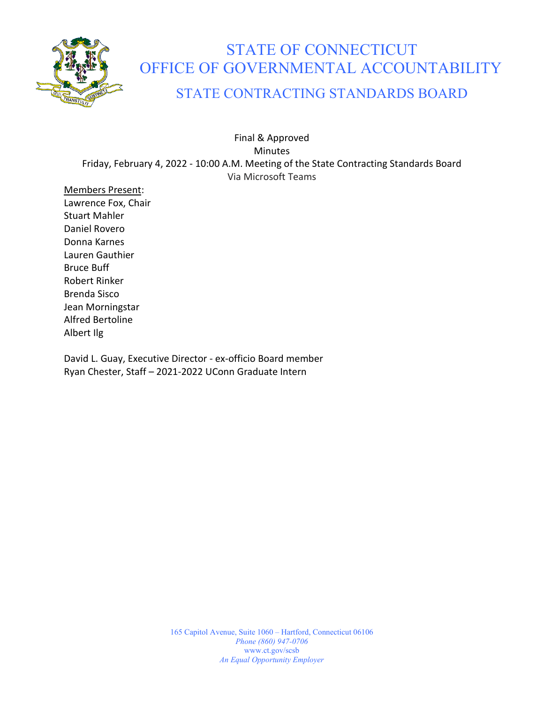

# STATE OF CONNECTICUT OFFICE OF GOVERNMENTAL ACCOUNTABILITY

### STATE CONTRACTING STANDARDS BOARD

Final & Approved Minutes Friday, February 4, 2022 - 10:00 A.M. Meeting of the State Contracting Standards Board Via Microsoft Teams

Members Present: Lawrence Fox, Chair Stuart Mahler Daniel Rovero Donna Karnes Lauren Gauthier Bruce Buff Robert Rinker Brenda Sisco Jean Morningstar Alfred Bertoline Albert Ilg

David L. Guay, Executive Director - ex-officio Board member Ryan Chester, Staff – 2021-2022 UConn Graduate Intern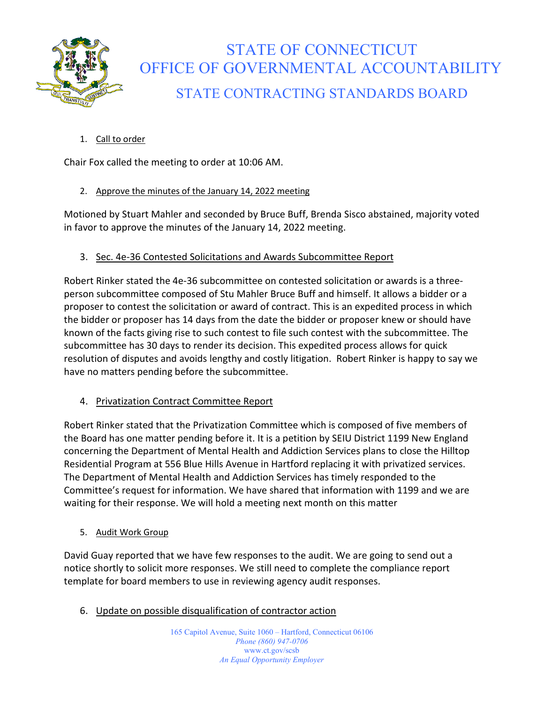

## STATE OF CONNECTICUT OFFICE OF GOVERNMENTAL ACCOUNTABILITY STATE CONTRACTING STANDARDS BOARD

1. Call to order

Chair Fox called the meeting to order at 10:06 AM.

#### 2. Approve the minutes of the January 14, 2022 meeting

Motioned by Stuart Mahler and seconded by Bruce Buff, Brenda Sisco abstained, majority voted in favor to approve the minutes of the January 14, 2022 meeting.

#### 3. Sec. 4e-36 Contested Solicitations and Awards Subcommittee Report

Robert Rinker stated the 4e-36 subcommittee on contested solicitation or awards is a threeperson subcommittee composed of Stu Mahler Bruce Buff and himself. It allows a bidder or a proposer to contest the solicitation or award of contract. This is an expedited process in which the bidder or proposer has 14 days from the date the bidder or proposer knew or should have known of the facts giving rise to such contest to file such contest with the subcommittee. The subcommittee has 30 days to render its decision. This expedited process allows for quick resolution of disputes and avoids lengthy and costly litigation. Robert Rinker is happy to say we have no matters pending before the subcommittee.

#### 4. Privatization Contract Committee Report

Robert Rinker stated that the Privatization Committee which is composed of five members of the Board has one matter pending before it. It is a petition by SEIU District 1199 New England concerning the Department of Mental Health and Addiction Services plans to close the Hilltop Residential Program at 556 Blue Hills Avenue in Hartford replacing it with privatized services. The Department of Mental Health and Addiction Services has timely responded to the Committee's request for information. We have shared that information with 1199 and we are waiting for their response. We will hold a meeting next month on this matter

5. Audit Work Group

David Guay reported that we have few responses to the audit. We are going to send out a notice shortly to solicit more responses. We still need to complete the compliance report template for board members to use in reviewing agency audit responses.

6. Update on possible disqualification of contractor action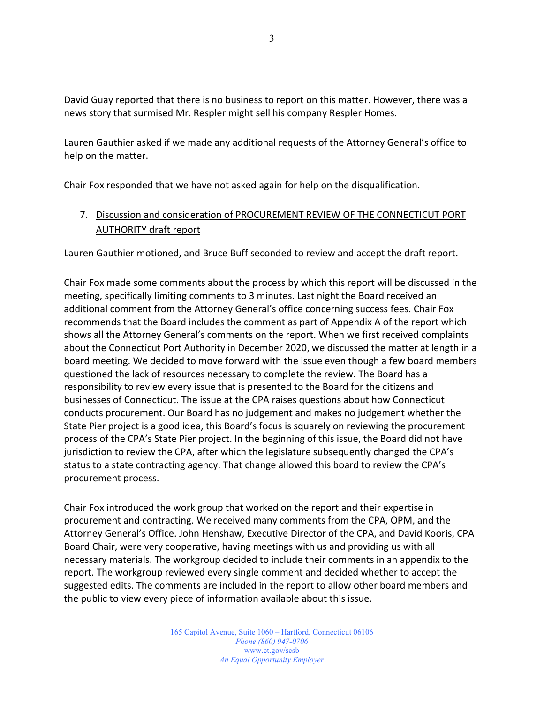David Guay reported that there is no business to report on this matter. However, there was a news story that surmised Mr. Respler might sell his company Respler Homes.

Lauren Gauthier asked if we made any additional requests of the Attorney General's office to help on the matter.

Chair Fox responded that we have not asked again for help on the disqualification.

#### 7. Discussion and consideration of PROCUREMENT REVIEW OF THE CONNECTICUT PORT AUTHORITY draft report

Lauren Gauthier motioned, and Bruce Buff seconded to review and accept the draft report.

Chair Fox made some comments about the process by which this report will be discussed in the meeting, specifically limiting comments to 3 minutes. Last night the Board received an additional comment from the Attorney General's office concerning success fees. Chair Fox recommends that the Board includes the comment as part of Appendix A of the report which shows all the Attorney General's comments on the report. When we first received complaints about the Connecticut Port Authority in December 2020, we discussed the matter at length in a board meeting. We decided to move forward with the issue even though a few board members questioned the lack of resources necessary to complete the review. The Board has a responsibility to review every issue that is presented to the Board for the citizens and businesses of Connecticut. The issue at the CPA raises questions about how Connecticut conducts procurement. Our Board has no judgement and makes no judgement whether the State Pier project is a good idea, this Board's focus is squarely on reviewing the procurement process of the CPA's State Pier project. In the beginning of this issue, the Board did not have jurisdiction to review the CPA, after which the legislature subsequently changed the CPA's status to a state contracting agency. That change allowed this board to review the CPA's procurement process.

Chair Fox introduced the work group that worked on the report and their expertise in procurement and contracting. We received many comments from the CPA, OPM, and the Attorney General's Office. John Henshaw, Executive Director of the CPA, and David Kooris, CPA Board Chair, were very cooperative, having meetings with us and providing us with all necessary materials. The workgroup decided to include their comments in an appendix to the report. The workgroup reviewed every single comment and decided whether to accept the suggested edits. The comments are included in the report to allow other board members and the public to view every piece of information available about this issue.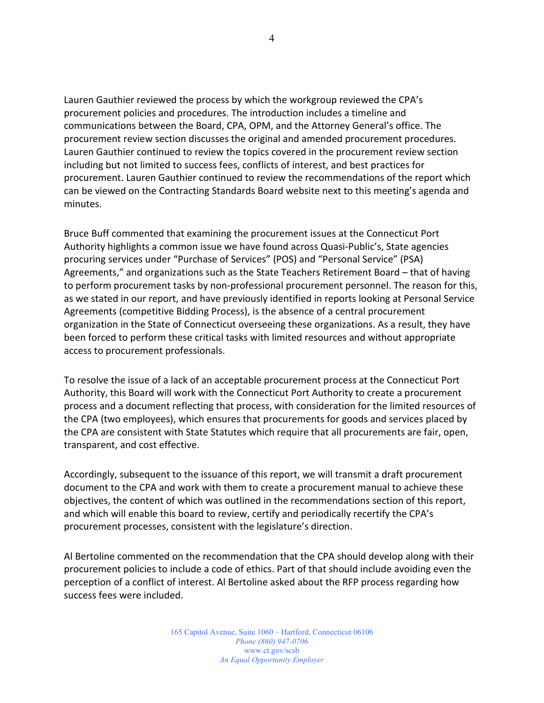Lauren Gauthier reviewed the process by which the workgroup reviewed the CPA's procurement policies and procedures. The introduction includes a timeline and communications between the Board, CPA, OPM, and the Attorney General's office. The procurement review section discusses the original and amended procurement procedures. Lauren Gauthier continued to review the topics covered in the procurement review section including but not limited to success fees, conflicts of interest, and best practices for procurement. Lauren Gauthier continued to review the recommendations of the report which can be viewed on the Contracting Standards Board website next to this meeting's agenda and minutes.

Bruce Buff commented that examining the procurement issues at the Connecticut Port Authority highlights a common issue we have found across Quasi-Public's, State agencies procuring services under "Purchase of Services" (POS) and "Personal Service" (PSA) Agreements," and organizations such as the State Teachers Retirement Board – that of having to perform procurement tasks by non-professional procurement personnel. The reason for this, as we stated in our report, and have previously identified in reports looking at Personal Service Agreements (competitive Bidding Process), is the absence of a central procurement organization in the State of Connecticut overseeing these organizations. As a result, they have been forced to perform these critical tasks with limited resources and without appropriate access to procurement professionals.

To resolve the issue of a lack of an acceptable procurement process at the Connecticut Port Authority, this Board will work with the Connecticut Port Authority to create a procurement process and a document reflecting that process, with consideration for the limited resources of the CPA (two employees), which ensures that procurements for goods and services placed by the CPA are consistent with State Statutes which require that all procurements are fair, open, transparent, and cost effective.

Accordingly, subsequent to the issuance of this report, we will transmit a draft procurement document to the CPA and work with them to create a procurement manual to achieve these objectives, the content of which was outlined in the recommendations section of this report, and which will enable this board to review, certify and periodically recertify the CPA's procurement processes, consistent with the legislature's direction.

Al Bertoline commented on the recommendation that the CPA should develop along with their procurement policies to include a code of ethics. Part of that should include avoiding even the perception of a conflict of interest. Al Bertoline asked about the RFP process regarding how success fees were included.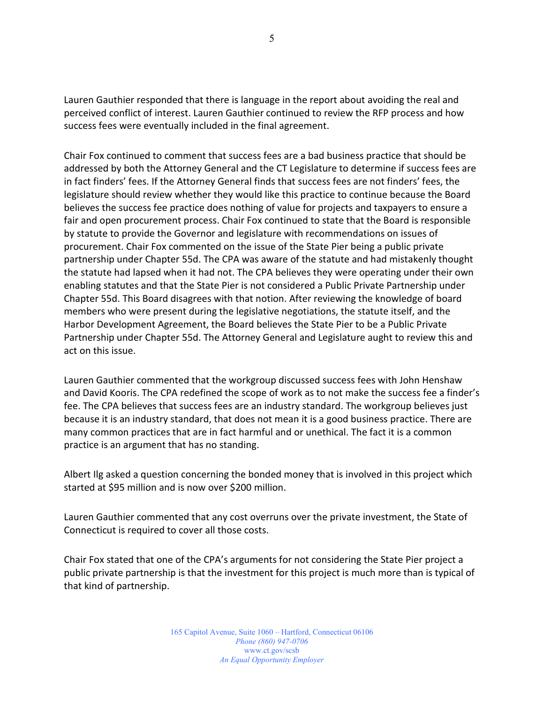Lauren Gauthier responded that there is language in the report about avoiding the real and perceived conflict of interest. Lauren Gauthier continued to review the RFP process and how success fees were eventually included in the final agreement.

Chair Fox continued to comment that success fees are a bad business practice that should be addressed by both the Attorney General and the CT Legislature to determine if success fees are in fact finders' fees. If the Attorney General finds that success fees are not finders' fees, the legislature should review whether they would like this practice to continue because the Board believes the success fee practice does nothing of value for projects and taxpayers to ensure a fair and open procurement process. Chair Fox continued to state that the Board is responsible by statute to provide the Governor and legislature with recommendations on issues of procurement. Chair Fox commented on the issue of the State Pier being a public private partnership under Chapter 55d. The CPA was aware of the statute and had mistakenly thought the statute had lapsed when it had not. The CPA believes they were operating under their own enabling statutes and that the State Pier is not considered a Public Private Partnership under Chapter 55d. This Board disagrees with that notion. After reviewing the knowledge of board members who were present during the legislative negotiations, the statute itself, and the Harbor Development Agreement, the Board believes the State Pier to be a Public Private Partnership under Chapter 55d. The Attorney General and Legislature aught to review this and act on this issue.

Lauren Gauthier commented that the workgroup discussed success fees with John Henshaw and David Kooris. The CPA redefined the scope of work as to not make the success fee a finder's fee. The CPA believes that success fees are an industry standard. The workgroup believes just because it is an industry standard, that does not mean it is a good business practice. There are many common practices that are in fact harmful and or unethical. The fact it is a common practice is an argument that has no standing.

Albert Ilg asked a question concerning the bonded money that is involved in this project which started at \$95 million and is now over \$200 million.

Lauren Gauthier commented that any cost overruns over the private investment, the State of Connecticut is required to cover all those costs.

Chair Fox stated that one of the CPA's arguments for not considering the State Pier project a public private partnership is that the investment for this project is much more than is typical of that kind of partnership.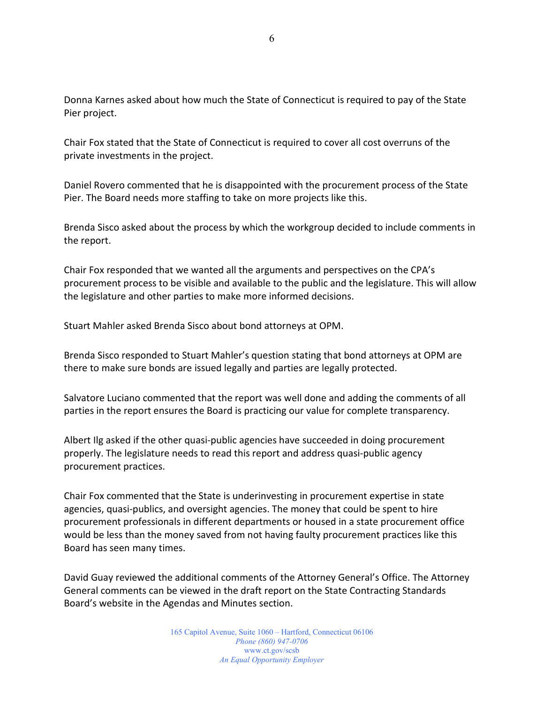Donna Karnes asked about how much the State of Connecticut is required to pay of the State Pier project.

Chair Fox stated that the State of Connecticut is required to cover all cost overruns of the private investments in the project.

Daniel Rovero commented that he is disappointed with the procurement process of the State Pier. The Board needs more staffing to take on more projects like this.

Brenda Sisco asked about the process by which the workgroup decided to include comments in the report.

Chair Fox responded that we wanted all the arguments and perspectives on the CPA's procurement process to be visible and available to the public and the legislature. This will allow the legislature and other parties to make more informed decisions.

Stuart Mahler asked Brenda Sisco about bond attorneys at OPM.

Brenda Sisco responded to Stuart Mahler's question stating that bond attorneys at OPM are there to make sure bonds are issued legally and parties are legally protected.

Salvatore Luciano commented that the report was well done and adding the comments of all parties in the report ensures the Board is practicing our value for complete transparency.

Albert Ilg asked if the other quasi-public agencies have succeeded in doing procurement properly. The legislature needs to read this report and address quasi-public agency procurement practices.

Chair Fox commented that the State is underinvesting in procurement expertise in state agencies, quasi-publics, and oversight agencies. The money that could be spent to hire procurement professionals in different departments or housed in a state procurement office would be less than the money saved from not having faulty procurement practices like this Board has seen many times.

David Guay reviewed the additional comments of the Attorney General's Office. The Attorney General comments can be viewed in the draft report on the State Contracting Standards Board's website in the Agendas and Minutes section.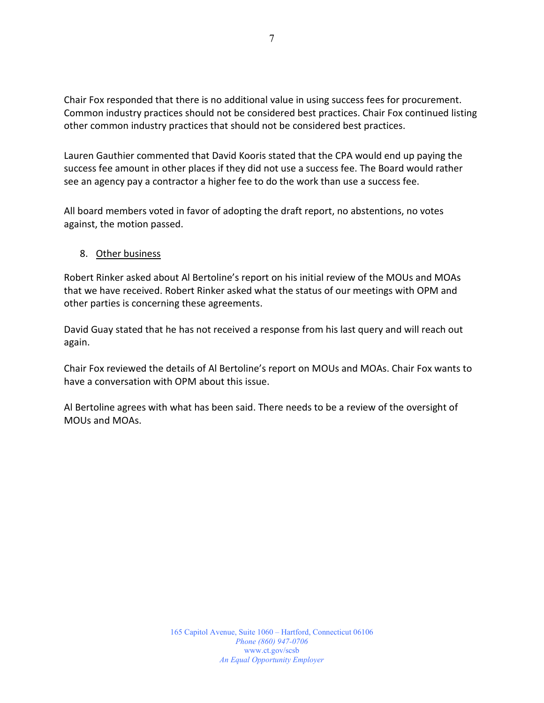Chair Fox responded that there is no additional value in using success fees for procurement. Common industry practices should not be considered best practices. Chair Fox continued listing other common industry practices that should not be considered best practices.

Lauren Gauthier commented that David Kooris stated that the CPA would end up paying the success fee amount in other places if they did not use a success fee. The Board would rather see an agency pay a contractor a higher fee to do the work than use a success fee.

All board members voted in favor of adopting the draft report, no abstentions, no votes against, the motion passed.

#### 8. Other business

Robert Rinker asked about Al Bertoline's report on his initial review of the MOUs and MOAs that we have received. Robert Rinker asked what the status of our meetings with OPM and other parties is concerning these agreements.

David Guay stated that he has not received a response from his last query and will reach out again.

Chair Fox reviewed the details of Al Bertoline's report on MOUs and MOAs. Chair Fox wants to have a conversation with OPM about this issue.

Al Bertoline agrees with what has been said. There needs to be a review of the oversight of MOUs and MOAs.